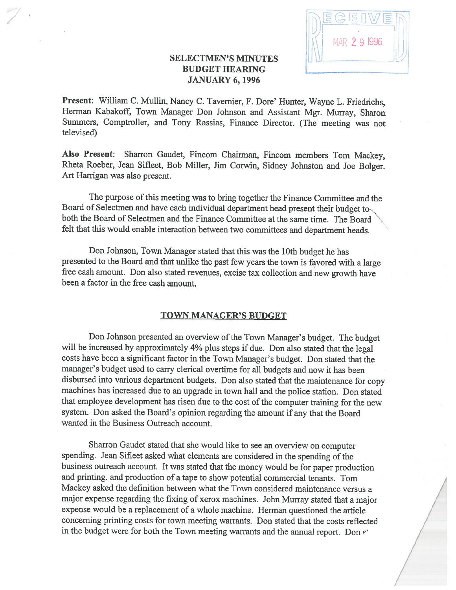

# SELECTMEN'S MINUTES BUDGET HEARING — JANUARY 6, 1996

Present: William C. Mullin, Nancy C. Tavernier, F. Dore' Hunter, Wayne L. Friedrichs, Herman Kabakoff, Town Manager Don Johnson and Assistant Mgr. Murray, Sharon Summers, Comptroller, and Tony Rassias, Finance Director. (The meeting was not televised)

Also Present: Sharron Gaudet, fincom Chairman, fincom members Tom Mackey, Rheta Roeber, Jean Sifleet, Bob Miller, Jim Corwin, Sidney Johnston and Joe Bolger. Art Harrigan was also present.

The purpose of this meeting was to bring together the Finance Committee and the Board of Selectmen and have each individual department head present their budget both the Board of Selectmen and the finance Committee at the same time. The Board felt that this would enable interaction between two committees and department heads.

Don Johnson, Town Manager stated that this was the 10th budget he has presented to the Board and that unlike the past few years the town is favored with <sup>a</sup> large free cash amount. Don also stated revenues, excise tax collection and new growth have been <sup>a</sup> factor in the free cash amount.

## TOWN MANAGER'S BUDGET

Don Johnson presented an overview of the Town Manager's budget. The budget will be increased by approximately 4% <sup>p</sup>lus steps if due. Don also stated that the legal costs have been <sup>a</sup> significant factor in the Town Manager's budget. Don stated that the manager's budget used to carry clerical overtime for all budgets and now it has been disbursed into various department budgets. Don also stated that the maintenance for copy machines has increased due to an upgrade in town hall and the police station. Don stated that employee development has risen due to the cost of the computer training for the new system. Don asked the Board's opinion regarding the amount if any that the Board wanted in the Business Outreach account.

Sharron Gaudet stated that she would like to see an overview on computer spending. Jean Sifleet asked what elements are considered in the spending of the business outreach account. It was stated that the money would be for paper production and printing, and production of <sup>a</sup> tape to show potential commercial tenants. Tom Mackey asked the definition between what the Town considered maintenance versus <sup>a</sup> major expense regarding the fixing of xerox machines. John Murray stated that <sup>a</sup> major expense would be <sup>a</sup> replacement of <sup>a</sup> whole machine. Herman questioned the article concerning printing costs for town meeting warrants. Don stated that the costs reflected in the budget were for both the Town meeting warrants and the annual report. Don s'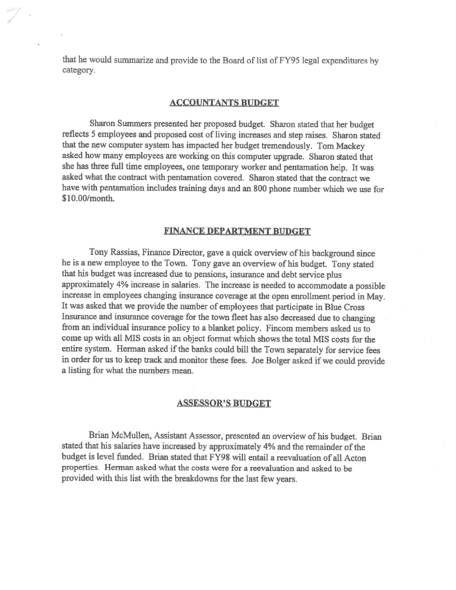that he would summarize and provide to the Board of list of FY95 legal expenditures by category.

#### ACCOUNTANTS BUDGET

Sharon Summers presented her proposed budget. Sharon stated that her budget reflects <sup>5</sup> employees and proposed cost of living increases and step raises. Sharon stated that the new computer system has impacted her budget tremendously. Tom Mackey asked how many employees are working on this computer upgrade. Sharon stated that she has three full time employees, one temporary worker and pentamation help. It was asked what the contract with pentamation covered. Sharon stated that the contract we have with pentamation includes training days and an \$00 <sup>p</sup>hone number which we use for \$10.00/month.

### FINANCE DEPARTMENT BUDGET

Tony Rassias, finance Director, gave <sup>a</sup> quick overview of his background since he is <sup>a</sup> new employee to the Town. Tony gave an overview of his budget. Tony stated that his budget was increased due to pensions, insurance and debt service <sup>p</sup>lus approximately 4% increase in salaries. The increase is needed to accommodate <sup>a</sup> possible increase in employees changing insurance coverage at the open enrollment period in May. It was asked that we provide the number of employees that participate in Blue Cross Insurance and insurance coverage for the town fleet has also decreased due to changing from an individual insurance policy to <sup>a</sup> blanket policy. Fincom members asked us to come up with all MIS costs in an object format which shows the total MIS costs for the entire system. Herman asked if the banks could bill the Town separately for service fees in order for us to keep track and monitor these fees. Joe Bolger asked if we could provide <sup>a</sup> listing for what the numbers mean.

## ASSESSOR'S BUDGET

Brian McMullen, Assistant Assessor, presented an overview of his budget. Brian stated that his salaries have increased by approximately 4% and the remainder of the budget is level funded. Brian stated that FY98 will entail <sup>a</sup> reevaluation of all Acton properties. Herman asked what the costs were for <sup>a</sup> reevaluation and asked to be provided with this list with the breakdowns for the last few years.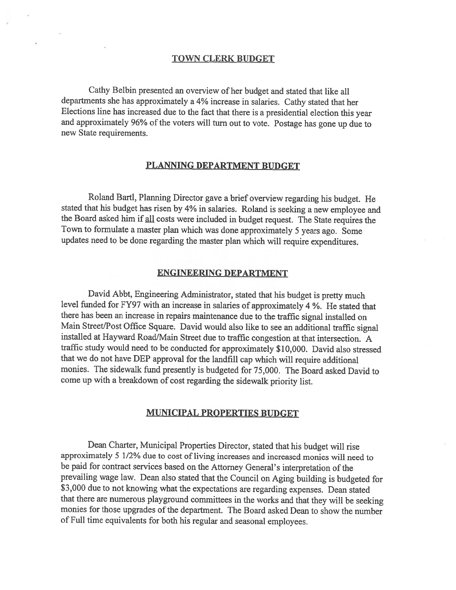## TOWN CLERK BUDGET

Cathy Belbin presented an overview of her budget and stated that like all departments she has approximately <sup>a</sup> 4% increase in salaries. Cathy stated that her Elections line has increased due to the fact that there is <sup>a</sup> presidential election this year and approximately 96% of the voters will turn out to vote. Postage has gone up due to new State requirements.

## PLANNING DEPARTMENT BUDGET

Roland Bartl, Planning Director gave <sup>a</sup> brief overview regarding his budget. He stated that his budget has risen by 4% in salaries. Roland is seeking <sup>a</sup> new employee and the Board asked him if all costs were included in budget request. The State requires the Town to formulate <sup>a</sup> master <sup>p</sup>lan which was done approximately <sup>5</sup> years ago. Some updates need to be done regarding the master <sup>p</sup>lan which will require expenditures.

#### ENGINEERING DEPARTMENT

David Abbt, Engineering Administrator, stated that his budget is pretty much level funded for FY97 with an increase in salaries of approximately <sup>4</sup> %. He stated that there has been an increase in repairs maintenance due to the traffic signal installed on Main Street/Post Office Square. David would also like to see an additional traffic signal installed at Hayward Road/Main Street due to traffic congestion at that intersection. <sup>A</sup> traffic study would need to be conducted for approximately \$10,000. David also stressed that we do not have DEP approval for the landfill cap which will require additional monies. The sidewalk fund presently is budgeted for 75,000. The Board asked David to come up with <sup>a</sup> breakdown of cost regarding the sidewalk priority list.

## MUNICIPAL PROPERTIES BUDGET

Dean Charter, Municipal Properties Director, stated that his budget will rise approximately <sup>5</sup> 1/2% due to cost of living increases and increased monies will need to be paid for contract services based on the Attorney General's interpretation of the prevailing wage law. Dean also stated that the Council on Aging building is budgeted for \$3,000 due to not knowing what the expectations are regarding expenses. Dean stated that there are numerous <sup>p</sup>layground committees in the works and that they will be seeking monies for those upgrades of the department. The Board asked Dean to show the number of Full time equivalents for both his regular and seasonal employees.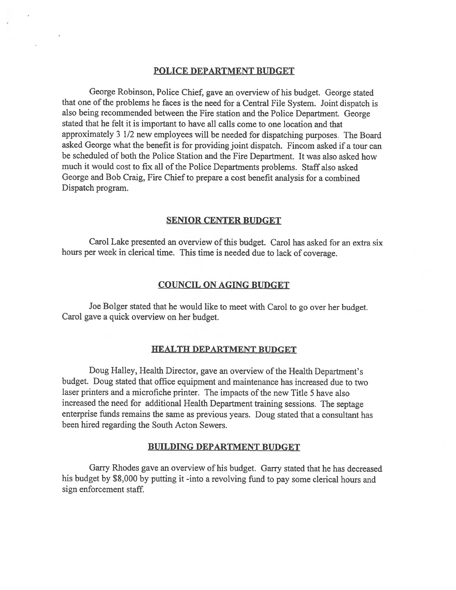#### POLICE DEPARTMENT BUDGET

George Robinson, Police Chief, gave an overview of his budget. George stated that one of the problems he faces is the need for <sup>a</sup> Central File System. Joint dispatch is also being recommended between the Fire station and the Police Department. George stated that he felt it is important to have all calls come to one location and that approximately <sup>3</sup> 1/2 new employees will be needed for dispatching purposes. The Board asked George what the benefit is for providing joint dispatch. Fincom asked if <sup>a</sup> tour can be scheduled of both the Police Station and the Fire Department. It was also asked how much it would cost to fix all of the Police Departments problems. Staff also asked George and Bob Craig, Fire Chief to prepare <sup>a</sup> cost benefit analysis for <sup>a</sup> combined Dispatch program.

#### SENIOR CENTER BUDGET

Carol Lake presented an overview of this budget. Carol has asked for an extra six hours per week in clerical time. This time is needed due to lack of coverage.

### COUNCIL ON AGING BUDGET

Joe Bolger stated that he would like to meet with Carol to go over her budget. Carol gave <sup>a</sup> quick overview on her budget.

#### HEALTH DEPARTMENT BUDGET

Doug Halley, Health Director, gave an overview of the Health Department's budget. Doug stated that office equipment and maintenance has increased due to two laser printers and <sup>a</sup> microfiche printer. The impacts of the new Title 5 have also increased the need for additional Health Department training sessions. The septage enterprise funds remains the same as previous years. Doug stated that <sup>a</sup> consultant has been hired regarding the South Acton Sewers.

#### BUILDING DEPARTMENT BUDGET

Garry Rhodes gave an overview of his budget. Garry stated that he has decreased his budget by \$8,000 by putting it -into <sup>a</sup> revolving fund to pay some clerical hours and sign enforcement staff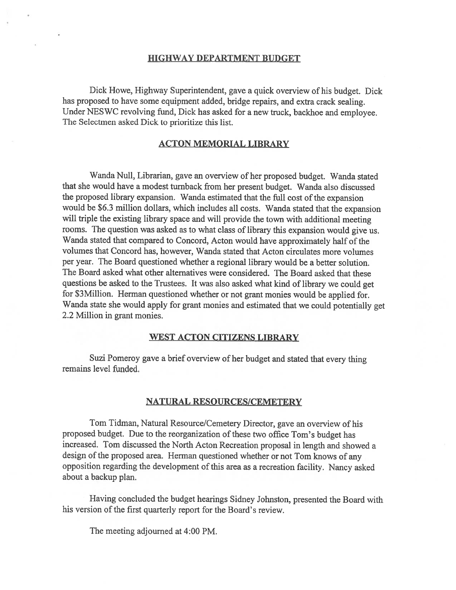## HIGHWAY DEPARTMENT BUDGET

Dick Howe, Highway Superintendent, gave <sup>a</sup> quick overview of his budget. Dick has propose<sup>d</sup> to have some equipment added, bridge repairs, and extra crack sealing. Under NESWC revolving fund, Dick has asked for <sup>a</sup> new truck, backhoe and employee. The Selectmen asked Dick to prioritize this list.

## ACTON MEMORIAL LIBRARY

Wanda Null, Librarian, gave an overview of her propose<sup>d</sup> budget. Wanda stated that she would have <sup>a</sup> modest tumback from her presen<sup>t</sup> budget. Wanda also discussed the proposed library expansion. Wanda estimated that the full cost of the expansion would be \$6.3 million dollars, which includes all costs. Wanda stated that the expansion will triple the existing library space and will provide the town with additional meeting rooms. The question was asked as to what class of library this expansion would <sup>g</sup>ive us. Wanda stated that compared to Concord, Acton would have approximately half of the volumes that Concord has, however, Wanda stated that Acton circulates more volumes per year. The Board questioned whether <sup>a</sup> regional library would be <sup>a</sup> better solution. The Board asked what other alternatives were considered. The Board asked that these questions be asked to the Trustees. It was also asked what kind of library we could ge<sup>t</sup> for \$3Million. Herman questioned whether or not gran<sup>t</sup> monies would be applied for. Wanda state she would apply for gran<sup>t</sup> monies and estimated that we could potentially ge<sup>t</sup> 2.2 Million in gran<sup>t</sup> monies.

#### WEST ACTON CITIZENS LIBRARY

Suzi Pomeroy gave <sup>a</sup> brief overview of her budget and stated that every thing remains level funded.

## NATURAL RESOURCES/CEMETERY

Tom Tidman, Natural Resource/Cemetery Director, gave an overview of his proposed budget. Due to the reorganization of these two office Tom's budget has increased. Tom discussed the North Acton Recreation proposa<sup>l</sup> in length and showed <sup>a</sup> design of the propose<sup>d</sup> area. Herman questioned whether or not Tom knows of any opposition regarding the development of this area as <sup>a</sup> recreation facility. Nancy asked about <sup>a</sup> backup plan.

Having concluded the budget hearings Sidney Johnston, presented the Board with his version of the first quarterly repor<sup>t</sup> for the Board's review.

The meeting adjourned at 4:00 PM.